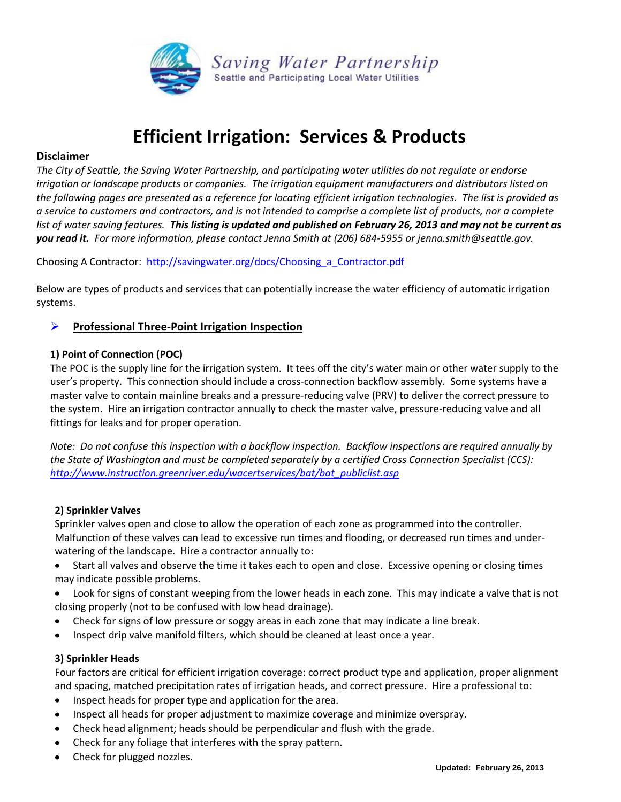

# **Efficient Irrigation: Services & Products**

# **Disclaimer**

*The City of Seattle, the Saving Water Partnership, and participating water utilities do not regulate or endorse irrigation or landscape products or companies. The irrigation equipment manufacturers and distributors listed on the following pages are presented as a reference for locating efficient irrigation technologies. The list is provided as a service to customers and contractors, and is not intended to comprise a complete list of products, nor a complete list of water saving features. This listing is updated and published on February 26, 2013 and may not be current as you read it. For more information, please contact Jenna Smith at (206) 684-5955 or jenna.smith@seattle.gov.*

Choosing A Contractor: [http://savingwater.org/docs/Choosing\\_a\\_Contractor.pdf](http://savingwater.org/docs/Choosing_a_Contractor.pdf)

Below are types of products and services that can potentially increase the water efficiency of automatic irrigation systems.

# **Professional Three-Point Irrigation Inspection**

#### **1) Point of Connection (POC)**

The POC is the supply line for the irrigation system. It tees off the city's water main or other water supply to the user's property. This connection should include a cross-connection backflow assembly. Some systems have a master valve to contain mainline breaks and a pressure-reducing valve (PRV) to deliver the correct pressure to the system. Hire an irrigation contractor annually to check the master valve, pressure-reducing valve and all fittings for leaks and for proper operation.

*Note: Do not confuse this inspection with a backflow inspection. Backflow inspections are required annually by the State of Washington and must be completed separately by a certified Cross Connection Specialist (CCS): [http://www.instruction.greenriver.edu/wacertservices/bat/bat\\_publiclist.asp](http://www.instruction.greenriver.edu/wacertservices/bat/bat_publiclist.asp)*

#### **2) Sprinkler Valves**

Sprinkler valves open and close to allow the operation of each zone as programmed into the controller. Malfunction of these valves can lead to excessive run times and flooding, or decreased run times and underwatering of the landscape. Hire a contractor annually to:

- Start all valves and observe the time it takes each to open and close. Excessive opening or closing times may indicate possible problems.
- Look for signs of constant weeping from the lower heads in each zone. This may indicate a valve that is not closing properly (not to be confused with low head drainage).
- Check for signs of low pressure or soggy areas in each zone that may indicate a line break.
- Inspect drip valve manifold filters, which should be cleaned at least once a year.

#### **3) Sprinkler Heads**

Four factors are critical for efficient irrigation coverage: correct product type and application, proper alignment and spacing, matched precipitation rates of irrigation heads, and correct pressure. Hire a professional to:

- Inspect heads for proper type and application for the area.
- Inspect all heads for proper adjustment to maximize coverage and minimize overspray.
- Check head alignment; heads should be perpendicular and flush with the grade.
- Check for any foliage that interferes with the spray pattern.
- Check for plugged nozzles.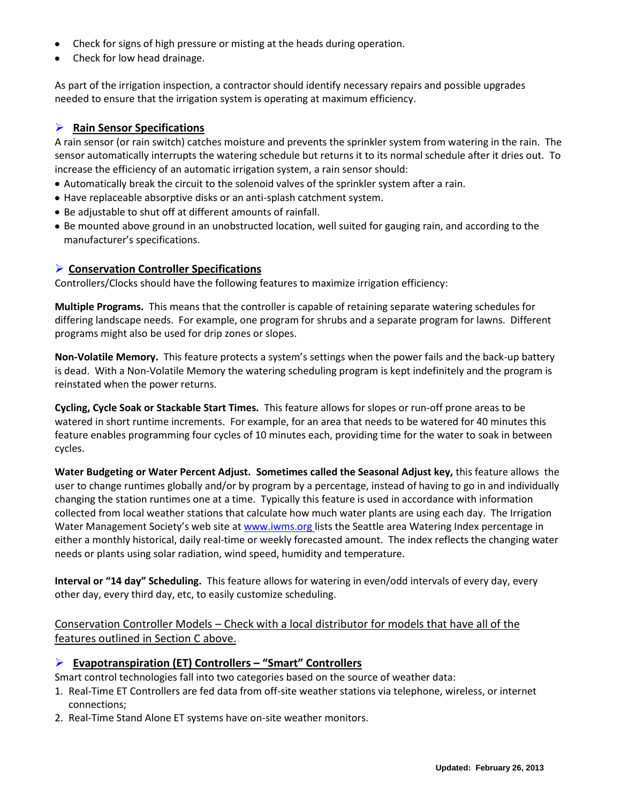- Check for signs of high pressure or misting at the heads during operation.
- Check for low head drainage.

As part of the irrigation inspection, a contractor should identify necessary repairs and possible upgrades needed to ensure that the irrigation system is operating at maximum efficiency.

# **Rain Sensor Specifications**

A rain sensor (or rain switch) catches moisture and prevents the sprinkler system from watering in the rain. The sensor automatically interrupts the watering schedule but returns it to its normal schedule after it dries out. To increase the efficiency of an automatic irrigation system, a rain sensor should:

- Automatically break the circuit to the solenoid valves of the sprinkler system after a rain.
- Have replaceable absorptive disks or an anti-splash catchment system.
- Be adjustable to shut off at different amounts of rainfall.
- Be mounted above ground in an unobstructed location, well suited for gauging rain, and according to the manufacturer's specifications.

#### **Conservation Controller Specifications**

Controllers/Clocks should have the following features to maximize irrigation efficiency:

**Multiple Programs.** This means that the controller is capable of retaining separate watering schedules for differing landscape needs. For example, one program for shrubs and a separate program for lawns. Different programs might also be used for drip zones or slopes.

**Non-Volatile Memory.** This feature protects a system's settings when the power fails and the back-up battery is dead. With a Non-Volatile Memory the watering scheduling program is kept indefinitely and the program is reinstated when the power returns.

**Cycling, Cycle Soak or Stackable Start Times.** This feature allows for slopes or run-off prone areas to be watered in short runtime increments. For example, for an area that needs to be watered for 40 minutes this feature enables programming four cycles of 10 minutes each, providing time for the water to soak in between cycles.

**Water Budgeting or Water Percent Adjust. Sometimes called the Seasonal Adjust key,** this feature allows the user to change runtimes globally and/or by program by a percentage, instead of having to go in and individually changing the station runtimes one at a time. Typically this feature is used in accordance with information collected from local weather stations that calculate how much water plants are using each day. The Irrigation Water Management Society's web site at [www.iwms.org](http://www.iwms.org/) lists the Seattle area Watering Index percentage in either a monthly historical, daily real-time or weekly forecasted amount. The index reflects the changing water needs or plants using solar radiation, wind speed, humidity and temperature.

**Interval or "14 day" Scheduling.** This feature allows for watering in even/odd intervals of every day, every other day, every third day, etc, to easily customize scheduling.

Conservation Controller Models – Check with a local distributor for models that have all of the features outlined in Section C above.

#### **Evapotranspiration (ET) Controllers – "Smart" Controllers**

Smart control technologies fall into two categories based on the source of weather data:

- 1. Real-Time ET Controllers are fed data from off-site weather stations via telephone, wireless, or internet connections;
- 2. Real-Time Stand Alone ET systems have on-site weather monitors.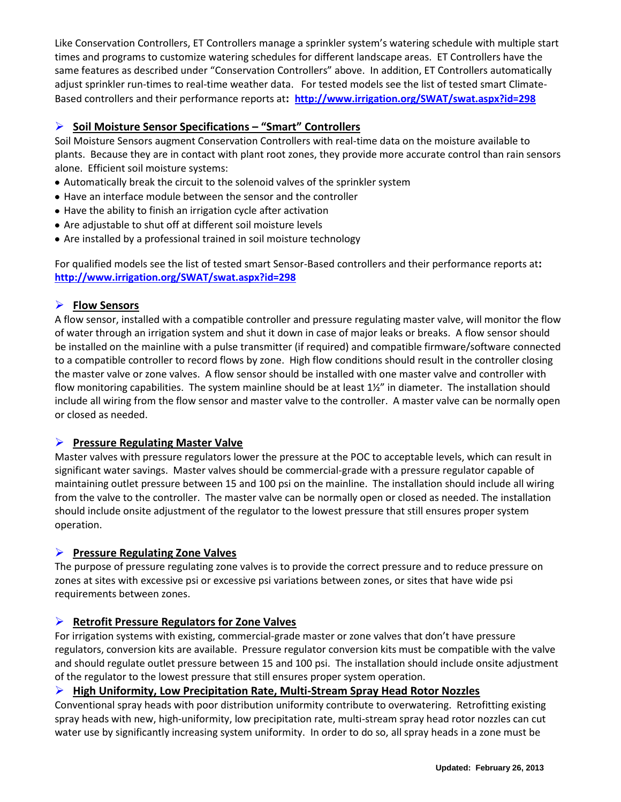Like Conservation Controllers, ET Controllers manage a sprinkler system's watering schedule with multiple start times and programs to customize watering schedules for different landscape areas. ET Controllers have the same features as described under "Conservation Controllers" above. In addition, ET Controllers automatically adjust sprinkler run-times to real-time weather data. For tested models see the list of tested smart Climate-Based controllers and their performance reports at**: <http://www.irrigation.org/SWAT/swat.aspx?id=298>**

# **Soil Moisture Sensor Specifications – "Smart" Controllers**

Soil Moisture Sensors augment Conservation Controllers with real-time data on the moisture available to plants. Because they are in contact with plant root zones, they provide more accurate control than rain sensors alone. Efficient soil moisture systems:

- Automatically break the circuit to the solenoid valves of the sprinkler system
- Have an interface module between the sensor and the controller
- Have the ability to finish an irrigation cycle after activation
- Are adjustable to shut off at different soil moisture levels
- Are installed by a professional trained in soil moisture technology

For qualified models see the list of tested smart Sensor-Based controllers and their performance reports at**: <http://www.irrigation.org/SWAT/swat.aspx?id=298>**

# **Flow Sensors**

A flow sensor, installed with a compatible controller and pressure regulating master valve, will monitor the flow of water through an irrigation system and shut it down in case of major leaks or breaks. A flow sensor should be installed on the mainline with a pulse transmitter (if required) and compatible firmware/software connected to a compatible controller to record flows by zone. High flow conditions should result in the controller closing the master valve or zone valves. A flow sensor should be installed with one master valve and controller with flow monitoring capabilities. The system mainline should be at least 1½" in diameter. The installation should include all wiring from the flow sensor and master valve to the controller. A master valve can be normally open or closed as needed.

# **Pressure Regulating Master Valve**

Master valves with pressure regulators lower the pressure at the POC to acceptable levels, which can result in significant water savings. Master valves should be commercial-grade with a pressure regulator capable of maintaining outlet pressure between 15 and 100 psi on the mainline. The installation should include all wiring from the valve to the controller. The master valve can be normally open or closed as needed. The installation should include onsite adjustment of the regulator to the lowest pressure that still ensures proper system operation.

# **Pressure Regulating Zone Valves**

The purpose of pressure regulating zone valves is to provide the correct pressure and to reduce pressure on zones at sites with excessive psi or excessive psi variations between zones, or sites that have wide psi requirements between zones.

# **Retrofit Pressure Regulators for Zone Valves**

For irrigation systems with existing, commercial-grade master or zone valves that don't have pressure regulators, conversion kits are available. Pressure regulator conversion kits must be compatible with the valve and should regulate outlet pressure between 15 and 100 psi. The installation should include onsite adjustment of the regulator to the lowest pressure that still ensures proper system operation.

# **High Uniformity, Low Precipitation Rate, Multi-Stream Spray Head Rotor Nozzles**

Conventional spray heads with poor distribution uniformity contribute to overwatering. Retrofitting existing spray heads with new, high-uniformity, low precipitation rate, multi-stream spray head rotor nozzles can cut water use by significantly increasing system uniformity. In order to do so, all spray heads in a zone must be